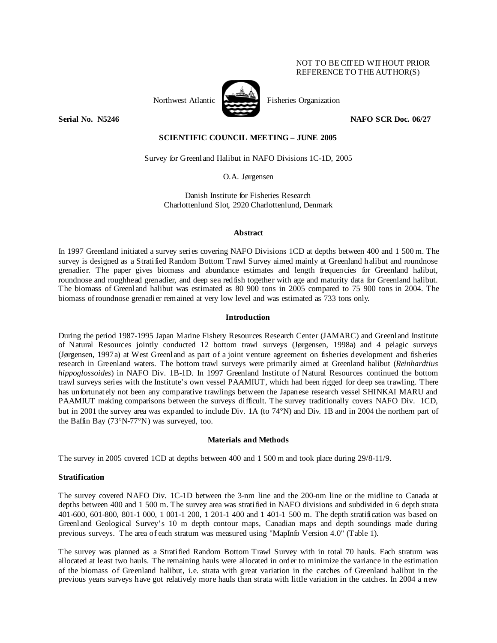## NOT TO BE CITED WITHOUT PRIOR REFERENCE TO THE AUTHOR(S)



Northwest Atlantic Fisheries Organization

**Serial No. N5246 NAFO SCR Doc. 06/27** 

# **SCIENTIFIC COUNCIL MEETING – JUNE 2005**

Survey for Greenland Halibut in NAFO Divisions 1C-1D, 2005

O.A. Jørgensen

Danish Institute for Fisheries Research Charlottenlund Slot, 2920 Charlottenlund, Denmark

### **Abstract**

In 1997 Greenland initiated a survey series covering NAFO Divisions 1CD at depths between 400 and 1 500 m. The survey is designed as a Stratified Random Bottom Trawl Survey aimed mainly at Greenland halibut and roundnose grenadier. The paper gives biomass and abundance estimates and length frequencies for Greenland halibut, roundnose and roughhead grenadier, and deep sea redfish together with age and maturity data for Greenland halibut. The biomass of Greenland halibut was estimated as 80 900 tons in 2005 compared to 75 900 tons in 2004. The biomass of roundnose grenadier remained at very low level and was estimated as 733 tons only.

## **Introduction**

During the period 1987-1995 Japan Marine Fishery Resources Research Center (JAMARC) and Greenland Institute of Natural Resources jointly conducted 12 bottom trawl surveys (Jørgensen, 1998a) and 4 pelagic surveys (Jørgensen, 1997a) at West Greenland as part of a joint venture agreement on fisheries development and fisheries research in Greenland waters. The bottom trawl surveys were primarily aimed at Greenland halibut (*Reinhardtius hippoglossoides*) in NAFO Div. 1B-1D. In 1997 Greenland Institute of Natural Resources continued the bottom trawl surveys series with the Institute's own vessel PAAMIUT, which had been rigged for deep sea trawling. There has unfortunately not been any comparative trawlings between the Japanese research vessel SHINKAI MARU and PAAMIUT making comparisons between the surveys difficult. The survey traditionally covers NAFO Div. 1CD, but in 2001 the survey area was expanded to include Div. 1A (to 74°N) and Div. 1B and in 2004 the northern part of the Baffin Bay (73°N-77°N) was surveyed, too.

## **Materials and Methods**

The survey in 2005 covered 1CD at depths between 400 and 1 500 m and took place during 29/8-11/9.

## **Stratification**

The survey covered NAFO Div. 1C-1D between the 3-nm line and the 200-nm line or the midline to Canada at depths between 400 and 1 500 m. The survey area was stratified in NAFO divisions and subdivided in 6 depth strata 401-600, 601-800, 801-1 000, 1 001-1 200, 1 201-1 400 and 1 401-1 500 m. The depth stratification was based on Greenland Geological Survey's 10 m depth contour maps, Canadian maps and depth soundings made during previous surveys. The area of each stratum was measured using "MapInfo Version 4.0" (Table 1).

The survey was planned as a Stratified Random Bottom Trawl Survey with in total 70 hauls. Each stratum was allocated at least two hauls. The remaining hauls were allocated in order to minimize the variance in the estimation of the biomass of Greenland halibut, i.e. strata with great variation in the catches of Greenland halibut in the previous years surveys have got relatively more hauls than strata with little variation in the catches. In 2004 a new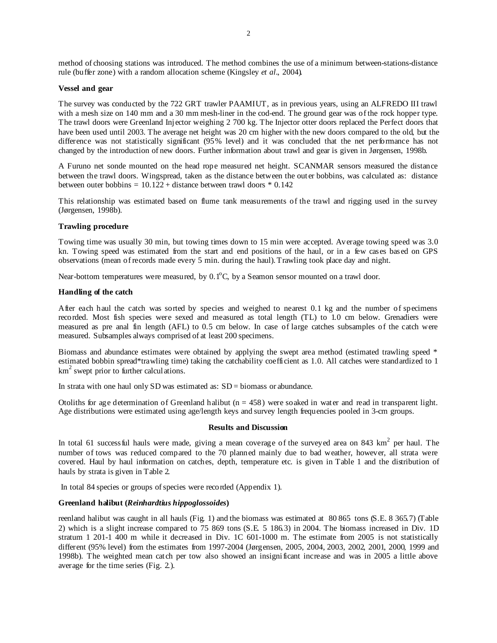method of choosing stations was introduced. The method combines the use of a minimum between-stations-distance rule (buffer zone) with a random allocation scheme (Kingsley *et al*., 2004).

### **Vessel and gear**

The survey was conducted by the 722 GRT trawler PAAMIUT, as in previous years, using an ALFREDO III trawl with a mesh size on 140 mm and a 30 mm mesh-liner in the cod-end. The ground gear was of the rock hopper type. The trawl doors were Greenland Injector weighing 2 700 kg. The Injector otter doors replaced the Perfect doors that have been used until 2003. The average net height was 20 cm higher with the new doors compared to the old, but the difference was not statistically significant (95% level) and it was concluded that the net performance has not changed by the introduction of new doors. Further information about trawl and gear is given in Jørgensen, 1998b.

A Furuno net sonde mounted on the head rope measured net height. SCANMAR sensors measured the distance between the trawl doors. Wingspread, taken as the distance between the outer bobbins, was calculated as: distance between outer bobbins =  $10.122 +$  distance between trawl doors  $*$  0.142

This relationship was estimated based on flume tank measurements of the trawl and rigging used in the survey (Jørgensen, 1998b).

### **Trawling procedure**

Towing time was usually 30 min, but towing times down to 15 min were accepted. Average towing speed was 3.0 kn. Towing speed was estimated from the start and end positions of the haul, or in a few cases based on GPS observations (mean of records made every 5 min. during the haul). Trawling took place day and night.

Near-bottom temperatures were measured, by  $0.1^{\circ}$ C, by a Seamon sensor mounted on a trawl door.

### **Handling of the catch**

After each haul the catch was sorted by species and weighed to nearest 0.1 kg and the number of specimens recorded. Most fish species were sexed and measured as total length (TL) to 1.0 cm below. Grenadiers were measured as pre anal fin length (AFL) to 0.5 cm below. In case of large catches subsamples of the catch were measured. Subsamples always comprised of at least 200 specimens.

Biomass and abundance estimates were obtained by applying the swept area method (estimated trawling speed \* estimated bobbin spread\*trawling time) taking the catchability coefficient as 1.0. All catches were standardized to 1 km<sup>2</sup> swept prior to further calculations.

In strata with one haul only SD was estimated as:  $SD = \text{biomass}$  or abundance.

Otoliths for age determination of Greenland halibut ( $n = 458$ ) were soaked in water and read in transparent light. Age distributions were estimated using age/length keys and survey length frequencies pooled in 3-cm groups.

## **Results and Discussion**

In total 61 success ful hauls were made, giving a mean coverage of the surveyed area on 843  $km^2$  per haul. The number of tows was reduced compared to the 70 planned mainly due to bad weather, however, all strata were covered. Haul by haul information on catches, depth, temperature etc. is given in Table 1 and the distribution of hauls by strata is given in Table 2.

In total 84 species or groups of species were recorded (Appendix 1).

## **Greenland halibut (***Reinhardtius hippoglossoides***)**

reenland halibut was caught in all hauls (Fig. 1) and the biomass was estimated at 80 865 tons (S.E. 8 365.7) (Table 2) which is a slight increase compared to 75 869 tons (S.E. 5 186.3) in 2004. The biomass increased in Div. 1D stratum 1 201-1 400 m while it decreased in Div. 1C 601-1000 m. The estimate from 2005 is not statistically different (95% level) from the estimates from 1997-2004 (Jørgensen, 2005, 2004, 2003, 2002, 2001, 2000, 1999 and 1998b). The weighted mean catch per tow also showed an insignificant increase and was in 2005 a little above average for the time series (Fig. 2.).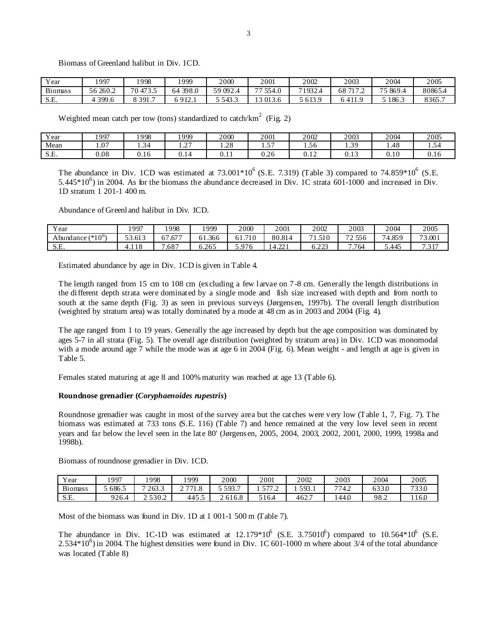Biomass of Greenland halibut in Div. 1CD.

| Year           | l QQ7    | 998      | 1999        | 2000           | 2001           | 2002            | 2003      | 2004    | 2005   |
|----------------|----------|----------|-------------|----------------|----------------|-----------------|-----------|---------|--------|
| <b>Biomass</b> | 56 260.2 | 70 473.5 | 398.0<br>64 | 59 092. $\sim$ | $- -$<br>554.0 | 71932<br>93 L.H | 68        | 75869.4 | 80865. |
| S.E.           | 399.6    | 8 391.7  | 912.1       | 543.5          | 013.6          | 5 613.9         | 6 4 1 1.9 | 186.3   | 8365.7 |

Weighted mean catch per tow (tons) standardized to catch/ $km^2$  (Fig. 2)

| Year | 007 ا        | 998           | 999    | 2000  | 2001                | 2002           | 2003             | 2004      | 2005 |
|------|--------------|---------------|--------|-------|---------------------|----------------|------------------|-----------|------|
| Mean | $\sim$<br>.U | $\sim$<br>- ت | $\sim$ | 1.28  | $\overline{a}$<br>. | $\sim$<br>1.56 | 30<br>ر ب ۱      | 1.48      | .    |
| S.E. | 0.08         | 0.16          | J.I4   | v.i i | 0.2<<br>0.26        | $\sim$<br>v.⊥∠ | $\sim$<br>v. i J | $_{0.10}$ | v.iv |

The abundance in Div. 1CD was estimated at  $73.001*10^6$  (S.E. 7.319) (Table 3) compared to  $74.859*10^6$  (S.E.  $5.445*10^6$ ) in 2004. As for the biomass the abundance decreased in Div. 1C strata 601-1000 and increased in Div. 1D stratum 1 201-1 400 m.

Abundance of Greenland halibut in Div. 1CD.

| Year                       | 1997     | 1998       | 1999   | 2000                    | 2001        | 2002              | 2003   | 2004   | 2005         |
|----------------------------|----------|------------|--------|-------------------------|-------------|-------------------|--------|--------|--------------|
| Abundance $(*10^6)$        | 53.613   | .677<br>-- | 61.366 | .710                    | 80.814      | - 1<br>1.510      | 72 556 | 74.859 | 73.001       |
| $\alpha$ $\Gamma$<br>.J.L. | T. 1. 1. | .687       | 5.265  | .07 <sub>6</sub><br>J.J | $\sim$<br>4 | $\cap$<br><i></i> | .764   | 5.445  | 7 2 1 7<br>. |

Estimated abundance by age in Div. 1CD is given in Table 4.

The length ranged from 15 cm to 108 cm (excluding a few larvae on 7-8 cm. Generally the length distributions in the different depth strata were dominated by a single mode and fish size increased with depth and from north to south at the same depth (Fig. 3) as seen in previous surveys (Jørgensen, 1997b). The overall length distribution (weighted by stratum area) was totally dominated by a mode at 48 cm as in 2003 and 2004 (Fig. 4).

The age ranged from 1 to 19 years. Generally the age increased by depth but the age composition was dominated by ages 5-7 in all strata (Fig. 5). The overall age distribution (weighted by stratum area) in Div. 1CD was monomodal with a mode around age 7 while the mode was at age 6 in 2004 (Fig. 6). Mean weight - and length at age is given in Table 5.

Females stated maturing at age 8 and 100% maturity was reached at age 13 (Table 6).

### **Roundnose grenadier (***Coryphaenoides rupestris***)**

Roundnose grenadier was caught in most of the survey area but the catches were very low (Table 1, 7, Fig. 7). The biomass was estimated at 733 tons (S.E. 116) (Table 7) and hence remained at the very low level seen in recent years and far below the level seen in the late 80' (Jørgensen, 2005, 2004, 2003, 2002, 2001, 2000, 1999, 1998a and 1998b).

Biomass of roundnose grenadier in Div. 1CD.

| Year           | 1997  | 1998        | 1999     | 2000         | 2001    | 2002                                           | 2003 | 2004  | 2005          |
|----------------|-------|-------------|----------|--------------|---------|------------------------------------------------|------|-------|---------------|
| <b>Biomass</b> | 686.5 | 263.3       | 771<br>∸ | 593<br>,,,,  | $- - -$ | 593<br><b>JJ.L</b><br>$\overline{\phantom{a}}$ | 7742 | 633.0 | 722c<br>'33 U |
| sг<br>. تل د   | 226.4 | 2 5 3 0 . 2 | 445.     | ) 1 6.8<br>∼ | 16.4    | 462.7                                          | 1440 | 98.2  | 160           |

Most of the biomass was found in Div. 1D at 1 001-1 500 m (Table 7).

The abundance in Div. 1C-1D was estimated at  $12.179*10^6$  (S.E. 3.75010<sup>6</sup>) compared to 10.564\*10<sup>6</sup> (S.E.  $2.534*10^6$ ) in 2004. The highest densities were found in Div. 1C 601-1000 m where about 3/4 of the total abundance was located (Table 8)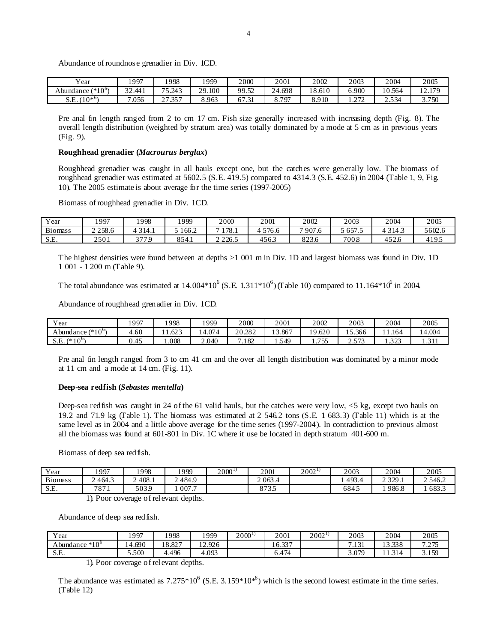Abundance of roundnose grenadier in Div. 1CD.

| $\mathbf{v}$<br>Y ear        | 1997             | 1998                           | 1999                   | 2000                                      | 2001             | 2002   | 2003           | 2004        | 2005               |
|------------------------------|------------------|--------------------------------|------------------------|-------------------------------------------|------------------|--------|----------------|-------------|--------------------|
| (* $10^{\rm o}$<br>Abundance | $\sim$<br>32.441 | 75.243                         | 29.100<br>$20^{\circ}$ | $\sim$<br>QQ<br>سەر .                     | . 698<br>'4<br>∸ | 18.610 | 5.900          | 10.564      | 170<br>$\sim$<br>. |
| 10* $\omega$<br>S.E          | .056             | 357<br>$\sim$ $\sim$<br>$\sim$ | 8.963                  | $\overline{\phantom{a}}$<br>$\sim$<br>. . | 797              | 8.910  | 272<br>1. L 12 | -534<br>ى ب | 3750               |

Pre anal fin length ranged from 2 to cm 17 cm. Fish size generally increased with increasing depth (Fig. 8). The overall length distribution (weighted by stratum area) was totally dominated by a mode at 5 cm as in previous years (Fig. 9).

## **Roughhead grenadier (***Macrourus berglax***)**

Roughhead grenadier was caught in all hauls except one, but the catches were generally low. The biomass of roughhead grenadier was estimated at 5602.5 (S.E. 419.5) compared to 4314.3 (S.E. 452.6) in 2004 (Table 1, 9, Fig. 10). The 2005 estimate is about average for the time series (1997-2005)

Biomass of roughhead grenadier in Div. 1CD.

| Year                           | 1997              | 1998  | 1999  | 2000  | 2001                         | 2002         | 2003  | 2004               | 2005   |
|--------------------------------|-------------------|-------|-------|-------|------------------------------|--------------|-------|--------------------|--------|
| <b>Biomass</b>                 | 258.6<br><u>_</u> | 314.1 | 166.2 | 78.1  | 576.6                        | 907.6        | 657.5 | 314.3              | 5602.6 |
| $\sim$ $\blacksquare$<br>.J.L. | 250.1             | 2770  | 854.1 | 226.5 | $\sim$ $\sim$ $\sim$<br>450. | 0.22<br>8230 | 7008  | $\sim$<br>۰٫۱ که ۱ | 1 Q    |

The highest densities were found between at depths >1 001 m in Div. 1D and largest biomass was found in Div. 1D 1 001 - 1 200 m (Table 9).

The total abundance was estimated at  $14.004*10^6$  (S.E.  $1.311*10^6$ ) (Table 10) compared to 11.164\*10<sup>6</sup> in 2004.

Abundance of roughhead grenadier in Div. 1CD.

| Year                                    | .997 | 998  | 1999  | 2000         | 2001             | 2002             | 2003            | 2004                             | 2005                    |
|-----------------------------------------|------|------|-------|--------------|------------------|------------------|-----------------|----------------------------------|-------------------------|
| $(*10^{\circ})$<br>Abundance (          | .60  | .623 | 4.074 | 20.282<br>20 | .867<br>$\sim$   | .620<br>$\Omega$ | 15.366          | .164<br>$\overline{\phantom{a}}$ | 4.004                   |
| $(*10^{0}$<br>$\mathbf{r}$<br>تلند<br>ິ | U.4J | .008 | 2.040 | .182         | 549<br>$\sim$ T. | 755<br>1.13      | $- - -$<br>ن. ت | $\sim$<br>. . <i>.</i>           | $\bigcap$ 1.1<br>1.J 11 |

Pre anal fin length ranged from 3 to cm 41 cm and the over all length distribution was dominated by a minor mode at 11 cm and a mode at 14 cm. (Fig. 11).

### **Deep-sea redfish (***Sebastes mentella***)**

Deep-sea redfish was caught in 24 of the 61 valid hauls, but the catches were very low, <5 kg, except two hauls on 19.2 and 71.9 kg (Table 1). The biomass was estimated at 2 546.2 tons (S.E. 1 683.3) (Table 11) which is at the same level as in 2004 and a little above average for the time series (1997-2004). In contradiction to previous almost all the biomass was found at 601-801 in Div. 1C where it use be located in depth stratum 401-600 m.

Biomass of deep sea redfish.

| Year           | 1997                     | 1998  | 1999  | $2000^{1}$ | 2001             | $2002^{11}$ | 2003  | 2004    | 2005       |
|----------------|--------------------------|-------|-------|------------|------------------|-------------|-------|---------|------------|
| <b>Biomass</b> | 464.3                    | 408.1 | 484.9 |            | 2 0 6 3.4        |             | 493.4 | 2.329.1 | 2 5 4 6 .2 |
| cг<br>. تــ ب  | 707<br>$\circ$ / $\cdot$ | 5039  | 007.7 |            | 0.72E<br>0 I J J |             | 6845  | 986.8   | 683.3      |
|                | $\sim$                   |       |       |            |                  |             |       |         |            |

1). Poor coverage of relevant depths.

Abundance of deep sea redfish.

| Year                      | 1997       | 1998                           | .999   | $2000^{\frac{1}{2}}$ | 2001                    | $2002^{11}$ | 2003                | 2004                      | 2005            |
|---------------------------|------------|--------------------------------|--------|----------------------|-------------------------|-------------|---------------------|---------------------------|-----------------|
| $*10^6$<br>undance<br>Abv | 4.690<br>⊶ | $.$ on $-$<br>$\Omega$<br>0.02 | 12.926 |                      | $\sim$ 00 $\pi$<br>10.3 |             | $\bigcap$ 1<br>.131 | 13.338                    | 7.27<br>ر ريے . |
| S.E.                      | 5.500      | 4.496                          | 4.093  |                      | 0.474                   |             | 07Q<br>$-0.012$     | $\bigcap_{i=1}^n$<br>1.71 | 3.159           |
|                           |            | $\sim$ $\sim$                  |        |                      |                         |             |                     |                           |                 |

1). Poor coverage of relevant depths.

The abundance was estimated as  $7.275*10^6$  (S.E. 3.159 $*10*^6$ ) which is the second lowest estimate in the time series. (Table 12)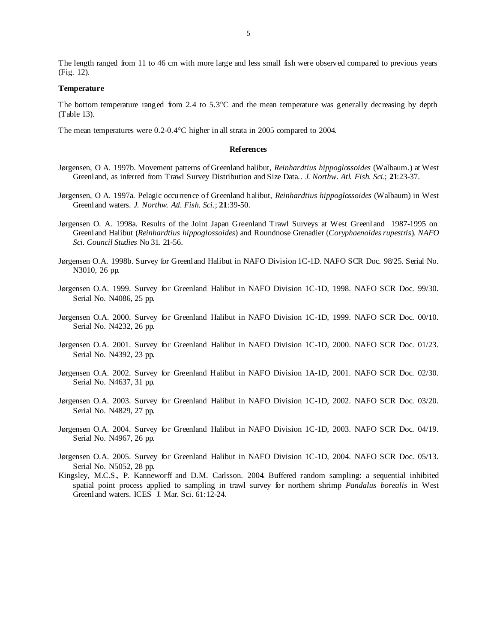The length ranged from 11 to 46 cm with more large and less small fish were observed compared to previous years (Fig. 12).

### **Temperature**

The bottom temperature ranged from 2.4 to 5.3°C and the mean temperature was generally decreasing by depth (Table 13).

The mean temperatures were 0.2-0.4°C higher in all strata in 2005 compared to 2004.

### **References**

- Jørgensen, O A. 1997b. Movement patterns of Greenland halibut, *Reinhardtius hippoglossoides* (Walbaum.) at West Greenland, as inferred from Trawl Survey Distribution and Size Data.. *J. Northw. Atl. Fish. Sci*.; **21**:23-37.
- Jørgensen, O A. 1997a. Pelagic occurrence of Greenland halibut, *Reinhardtius hippoglossoides* (Walbaum) in West Greenland waters. *J. Northw. Atl. Fish. Sci*.; **21**:39-50.
- Jørgensen O. A. 1998a. Results of the Joint Japan Greenland Trawl Surveys at West Greenland 1987-1995 on Greenland Halibut (*Reinhardtius hippoglossoides*) and Roundnose Grenadier (*Coryphaenoides rupestris*). *NAFO Sci. Council Studies* No 31. 21-56.
- Jørgensen O.A. 1998b. Survey for Greenland Halibut in NAFO Division 1C-1D. NAFO SCR Doc. 98/25. Serial No. N3010, 26 pp.
- Jørgensen O.A. 1999. Survey for Greenland Halibut in NAFO Division 1C-1D, 1998. NAFO SCR Doc. 99/30. Serial No. N4086, 25 pp.
- Jørgensen O.A. 2000. Survey for Greenland Halibut in NAFO Division 1C-1D, 1999. NAFO SCR Doc. 00/10. Serial No. N4232, 26 pp.
- Jørgensen O.A. 2001. Survey for Greenland Halibut in NAFO Division 1C-1D, 2000. NAFO SCR Doc. 01/23. Serial No. N4392, 23 pp.
- Jørgensen O.A. 2002. Survey for Greenland Halibut in NAFO Division 1A-1D, 2001. NAFO SCR Doc. 02/30. Serial No. N4637, 31 pp.
- Jørgensen O.A. 2003. Survey for Greenland Halibut in NAFO Division 1C-1D, 2002. NAFO SCR Doc. 03/20. Serial No. N4829, 27 pp.
- Jørgensen O.A. 2004. Survey for Greenland Halibut in NAFO Division 1C-1D, 2003. NAFO SCR Doc. 04/19. Serial No. N4967, 26 pp.
- Jørgensen O.A. 2005. Survey for Greenland Halibut in NAFO Division 1C-1D, 2004. NAFO SCR Doc. 05/13. Serial No. N5052, 28 pp.
- Kingsley, M.C.S., P. Kanneworff and D.M. Carlsson. 2004. Buffered random sampling: a sequential inhibited spatial point process applied to sampling in trawl survey for northern shrimp *Pandalus borealis* in West Greenland waters. ICES J. Mar. Sci. 61:12-24.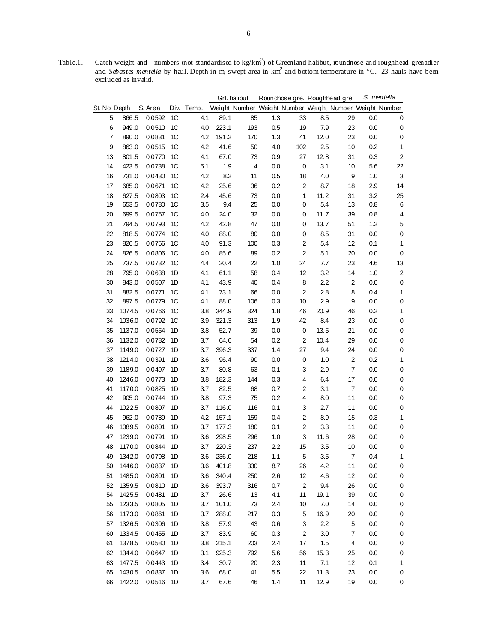|    |              |           |                |            |       | Grl. halibut            |     | Roundnosegre. Roughhead gre. |         |                                                         |     | S. mentella             |
|----|--------------|-----------|----------------|------------|-------|-------------------------|-----|------------------------------|---------|---------------------------------------------------------|-----|-------------------------|
|    | St. No Depth | S. Area   |                | Div. Temp. |       |                         |     |                              |         | Weight Number Weight Number Weight Number Weight Number |     |                         |
| 5  | 866.5        | 0.0592    | 1C             | 4.1        | 89.1  | 85                      | 1.3 | 33                           | 8.5     | 29                                                      | 0.0 | 0                       |
| 6  | 949.0        | 0.0510    | 1C             | 4.0        | 223.1 | 193                     | 0.5 | 19                           | 7.9     | 23                                                      | 0.0 | 0                       |
| 7  | 890.0        | 0.0831    | 1C             | 4.2        | 191.2 | 170                     | 1.3 | 41                           | 12.0    | 23                                                      | 0.0 | $\pmb{0}$               |
| 9  | 863.0        | 0.0515    | 1C             | 4.2        | 41.6  | 50                      | 4.0 | 102                          | 2.5     | 10                                                      | 0.2 | $\mathbf{1}$            |
| 13 | 801.5        | 0.0770    | 1C             | 4.1        | 67.0  | 73                      | 0.9 | 27                           | 12.8    | 31                                                      | 0.3 | $\overline{\mathbf{c}}$ |
| 14 | 423.5        | 0.0738    | 1C             | 5.1        | 1.9   | $\overline{\mathbf{4}}$ | 0.0 | $\mathbf 0$                  | 3.1     | 10                                                      | 5.6 | 22                      |
| 16 | 731.0        | 0.0430    | 1C             | 4.2        | 8.2   | 11                      | 0.5 | 18                           | 4.0     | 9                                                       | 1.0 | 3                       |
| 17 | 685.0        | 0.0671    | 1C             | 4.2        | 25.6  | 36                      | 0.2 | $\boldsymbol{2}$             | 8.7     | 18                                                      | 2.9 | 14                      |
| 18 | 627.5        | 0.0803    | 1C             | 2.4        | 45.6  | 73                      | 0.0 | 1                            | 11.2    | 31                                                      | 3.2 | 25                      |
| 19 | 653.5        | 0.0780    | 1C             | 3.5        | 9.4   | 25                      | 0.0 | 0                            | 5.4     | 13                                                      | 0.8 | 6                       |
| 20 | 699.5        | 0.0757    | 1 <sup>C</sup> | 4.0        | 24.0  | 32                      | 0.0 | 0                            | 11.7    | 39                                                      | 0.8 | $\overline{\mathbf{4}}$ |
| 21 | 794.5        | 0.0793    | 1 <sup>C</sup> | 4.2        | 42.8  | 47                      | 0.0 | 0                            | 13.7    | 51                                                      | 1.2 | $\mathbf 5$             |
| 22 | 818.5        | 0.0774    | 1C             | 4.0        | 88.0  | 80                      | 0.0 | 0                            | 8.5     | 31                                                      | 0.0 | $\pmb{0}$               |
| 23 | 826.5        | 0.0756    | 1 <sup>C</sup> | 4.0        | 91.3  | 100                     | 0.3 | $\overline{\mathbf{c}}$      | 5.4     | 12                                                      | 0.1 | 1                       |
| 24 | 826.5        | 0.0806    | 1C             | 4.0        | 85.6  | 89                      | 0.2 | $\overline{\mathbf{c}}$      | 5.1     | 20                                                      | 0.0 | $\mathbf 0$             |
| 25 | 737.5        | 0.0732    | 1C             | 4.4        | 20.4  | 22                      | 1.0 | 24                           | 7.7     | 23                                                      | 4.6 | 13                      |
| 28 | 795.0        | 0.0638    | 1D             | 4.1        | 61.1  | 58                      | 0.4 | 12                           | 3.2     | 14                                                      | 1.0 | $\overline{\mathbf{c}}$ |
| 30 | 843.0        | 0.0507    | 1D             | 4.1        | 43.9  | 40                      | 0.4 | 8                            | 2.2     | $\overline{2}$                                          | 0.0 | $\mathbf 0$             |
| 31 | 882.5        | 0.0771    | 1C             | 4.1        | 73.1  | 66                      | 0.0 | $\overline{2}$               | 2.8     | 8                                                       | 0.4 | $\mathbf{1}$            |
| 32 | 897.5        | 0.0779    | 1 <sup>C</sup> | 4.1        | 88.0  | 106                     | 0.3 | 10                           | 2.9     | 9                                                       | 0.0 | $\pmb{0}$               |
| 33 | 1074.5       | 0.0766    | 1 <sup>C</sup> | 3.8        | 344.9 | 324                     | 1.8 | 46                           | 20.9    | 46                                                      | 0.2 | $\mathbf{1}$            |
| 34 | 1036.0       | 0.0792    | 1C             | 3.9        | 321.3 | 313                     | 1.9 | 42                           | 8.4     | 23                                                      | 0.0 | $\pmb{0}$               |
| 35 | 1137.0       | 0.0554    | 1D             | 3.8        | 52.7  | 39                      | 0.0 | $\pmb{0}$                    | 13.5    | 21                                                      | 0.0 | $\mathbf 0$             |
| 36 | 1132.0       | 0.0782    | 1D             | 3.7        | 64.6  | 54                      | 0.2 | $\overline{c}$               | 10.4    | 29                                                      | 0.0 | $\mathbf 0$             |
| 37 | 1149.0       | 0.0727    | 1D             | 3.7        | 396.3 | 337                     | 1.4 | 27                           | 9.4     | 24                                                      | 0.0 | $\pmb{0}$               |
| 38 | 1214.0       | 0.0391    | 1D             | 3.6        | 96.4  | 90                      | 0.0 | $\mathbf 0$                  | 1.0     | $\boldsymbol{2}$                                        | 0.2 | $\mathbf{1}$            |
| 39 | 1189.0       | 0.0497    | 1D             | 3.7        | 80.8  | 63                      | 0.1 | 3                            | 2.9     | $\boldsymbol{7}$                                        | 0.0 | $\pmb{0}$               |
| 40 | 1246.0       | 0.0773    | 1D             | 3.8        | 182.3 | 144                     | 0.3 | 4                            | 6.4     | 17                                                      | 0.0 | $\mathbf 0$             |
| 41 | 1170.0       | 0.0825    | 1D             | 3.7        | 82.5  | 68                      | 0.7 | 2                            | 3.1     | $\boldsymbol{7}$                                        | 0.0 | $\mathbf 0$             |
| 42 | 905.0        | 0.0744    | 1D             | 3.8        | 97.3  | 75                      | 0.2 | 4                            | 8.0     | 11                                                      | 0.0 | $\pmb{0}$               |
| 44 | 1022.5       | 0.0807    | 1D             | 3.7        | 116.0 | 116                     | 0.1 | 3                            | 2.7     | 11                                                      | 0.0 | $\pmb{0}$               |
| 45 | 962.0        | 0.0789    | 1D             | 4.2        | 157.1 | 159                     | 0.4 | 2                            | 8.9     | 15                                                      | 0.3 | $\mathbf{1}$            |
| 46 | 1089.5       | 0.0801    | 1D             | 3.7        | 177.3 | 180                     | 0.1 | $\boldsymbol{2}$             | 3.3     | 11                                                      | 0.0 | $\pmb{0}$               |
| 47 | 1239.0       | 0.0791    | 1D             | 3.6        | 298.5 | 296                     | 1.0 | 3                            | 11.6    | 28                                                      | 0.0 | 0                       |
| 48 | 1170.0       | 0.0844    | 1D             | 3.7        | 220.3 | 237                     | 2.2 | 15                           | 3.5     | 10                                                      | 0.0 | $\pmb{0}$               |
| 49 | 1342.0       | 0.0798 1D |                | 3.6        | 236.0 | 218                     | 1.1 | 5                            | 3.5     | $\overline{7}$                                          | 0.4 | $\mathbf{1}$            |
| 50 | 1446.0       | 0.0837 1D |                | 3.6        | 401.8 | 330                     | 8.7 | 26                           | 4.2     | 11                                                      | 0.0 | 0                       |
| 51 | 1485.0       | 0.0801    | 1D             | 3.6        | 340.4 | 250                     | 2.6 | 12                           | 4.6     | 12                                                      | 0.0 | 0                       |
| 52 | 1359.5       | 0.0810    | 1D             | 3.6        | 393.7 | 316                     | 0.7 | $\overline{c}$               | 9.4     | 26                                                      | 0.0 | 0                       |
| 54 | 1425.5       | 0.0481    | 1D             | 3.7        | 26.6  | 13                      | 4.1 | 11                           | 19.1    | 39                                                      | 0.0 | $\pmb{0}$               |
| 55 | 1233.5       | 0.0805    | 1D             | 3.7        | 101.0 | 73                      | 2.4 | 10                           | 7.0     | 14                                                      | 0.0 | $\pmb{0}$               |
| 56 | 1173.0       | 0.0861    | 1D             | 3.7        | 288.0 | 217                     | 0.3 | 5                            | 16.9    | 20                                                      | 0.0 | $\pmb{0}$               |
| 57 | 1326.5       | 0.0306    | 1D             | 3.8        | 57.9  | 43                      | 0.6 | 3                            | 2.2     | 5                                                       | 0.0 | $\pmb{0}$               |
| 60 | 1334.5       | 0.0455    | 1D             | 3.7        | 83.9  | 60                      | 0.3 | $\overline{2}$               | $3.0\,$ | $\overline{7}$                                          | 0.0 | $\pmb{0}$               |
| 61 | 1378.5       | 0.0580    | 1D             | 3.8        | 215.1 | 203                     | 2.4 | 17                           | 1.5     | 4                                                       | 0.0 | $\pmb{0}$               |
| 62 | 1344.0       | 0.0647    | 1D             | 3.1        | 925.3 | 792                     | 5.6 | 56                           | 15.3    | 25                                                      | 0.0 | $\pmb{0}$               |
| 63 | 1477.5       | 0.0443    | 1D             | 3.4        | 30.7  | 20                      | 2.3 | 11                           | 7.1     | 12                                                      | 0.1 | 1                       |
| 65 | 1430.5       | 0.0837 1D |                | 3.6        | 68.0  | 41                      | 5.5 | 22                           | 11.3    | 23                                                      | 0.0 | 0                       |
| 66 | 1422.0       | 0.0516 1D |                | 3.7        | 67.6  | 46                      | 1.4 | 11                           | 12.9    | 19                                                      | 0.0 | 0                       |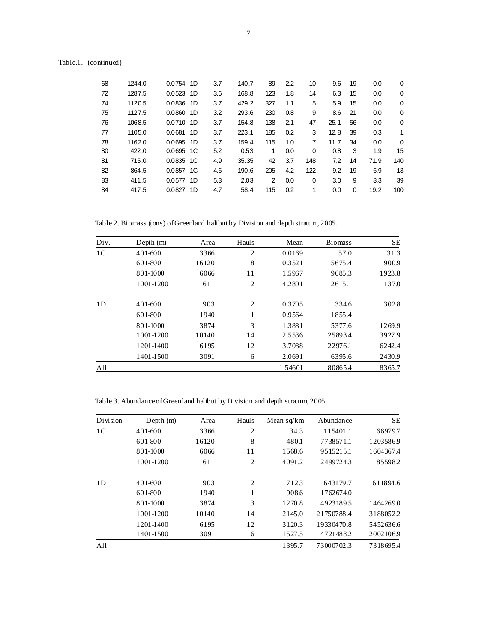| Table.1. | (continued) |
|----------|-------------|
|----------|-------------|

| 68 | 1244.0 | 0.0754<br>1D   | 3.7 | 140.7 | 89  | 2.2 | 10  | 9.6  | 19       | 0.0  | $\Omega$ |
|----|--------|----------------|-----|-------|-----|-----|-----|------|----------|------|----------|
| 72 | 1287.5 | 0.0523<br>1D   | 3.6 | 168.8 | 123 | 1.8 | 14  | 6.3  | 15       | 0.0  | 0        |
| 74 | 1120.5 | 0.0836<br>- 1D | 3.7 | 429.2 | 327 | 1.1 | 5   | 5.9  | 15       | 0.0  | 0        |
| 75 | 1127.5 | 0.0860 1D      | 3.2 | 293.6 | 230 | 0.8 | 9   | 8.6  | 21       | 0.0  | 0        |
| 76 | 1068.5 | 0.0710 1D      | 3.7 | 154.8 | 138 | 2.1 | 47  | 25.1 | 56       | 0.0  | 0        |
| 77 | 1105.0 | 0.0681<br>1D   | 3.7 | 223.1 | 185 | 0.2 | 3   | 12.8 | 39       | 0.3  | 1        |
| 78 | 1162.0 | 0.0695<br>1D   | 3.7 | 159.4 | 115 | 1.0 | 7   | 11.7 | 34       | 0.0  | $\Omega$ |
| 80 | 422.0  | 0.0695 1C      | 5.2 | 0.53  | 1   | 0.0 | 0   | 0.8  | 3        | 1.9  | 15       |
| 81 | 715.0  | $0.0835$ 1C    | 4.9 | 35.35 | 42  | 3.7 | 148 | 7.2  | 14       | 71.9 | 140      |
| 82 | 864.5  | 0.0857 1C      | 4.6 | 190.6 | 205 | 4.2 | 122 | 9.2  | 19       | 6.9  | 13       |
| 83 | 411.5  | 0.0577<br>1D   | 5.3 | 2.03  | 2   | 0.0 | 0   | 3.0  | 9        | 3.3  | 39       |
| 84 | 417.5  | 0.0827<br>1D   | 4.7 | 58.4  | 115 | 0.2 | 1   | 0.0  | $\Omega$ | 19.2 | 100      |

Table 2. Biomass (tons) of Greenland halibut by Division and depth stratum, 2005.

| Div.           | Depth $(m)$ | Area  | Hauls | Mean    | <b>Biomass</b> | SЕ     |
|----------------|-------------|-------|-------|---------|----------------|--------|
| 1 <sup>C</sup> | 401-600     | 3366  | 2     | 0.0169  | 57.0           | 31.3   |
|                | 601-800     | 16120 | 8     | 0.3521  | 5675.4         | 9009   |
|                | 801-1000    | 6066  | 11    | 1.5967  | 9685.3         | 1923.8 |
|                | 1001-1200   | 611   | 2     | 4.2801  | 2615.1         | 1370   |
| 1 <sub>D</sub> | 401-600     | 903   | 2     | 0.3705  | 334.6          | 302.8  |
|                | 601-800     | 1940  | 1     | 0.9564  | 1855.4         |        |
|                | 801-1000    | 3874  | 3     | 1.3881  | 5377.6         | 1269.9 |
|                | 1001-1200   | 10140 | 14    | 2.5536  | 25893.4        | 3927.9 |
|                | 1201-1400   | 6195  | 12    | 3.7088  | 22976.1        | 6242.4 |
|                | 1401-1500   | 3091  | 6     | 2.0691  | 6395.6         | 2430.9 |
| All            |             |       |       | 1.54601 | 80865.4        | 8365.7 |

Table 3. Abundance of Greenland halibut by Division and depth stratum, 2005.

| Division       | Depth $(m)$ | Area  | Hauls          | Mean $sq/km$ | Abundance  | SE        |
|----------------|-------------|-------|----------------|--------------|------------|-----------|
| 1 <sup>C</sup> | 401-600     | 3366  | $\overline{c}$ | 34.3         | 115401.1   | 66979.7   |
|                | 601-800     | 16120 | 8              | 480.1        | 7738571.1  | 12035869  |
|                | 801-1000    | 6066  | 11             | 1568.6       | 9515215.1  | 1604367.4 |
|                | 1001-1200   | 611   | 2              | 4091.2       | 24997243   | 855982    |
| 1D             | $401 - 600$ | 903   | $\overline{2}$ | 7123         | 643179.7   | 611894.6  |
|                | 601-800     | 1940  | 1              | 908.6        | 17626740   |           |
|                | 801-1000    | 3874  | 3              | 1270.8       | 49231895   | 1464269.0 |
|                | 1001-1200   | 10140 | 14             | 2145.0       | 21750788.4 | 31880522  |
|                | 1201-1400   | 6195  | 12             | 3120.3       | 19330470.8 | 5452636.6 |
|                | 1401-1500   | 3091  | 6              | 1527.5       | 47214882   | 20021069  |
| All            |             |       |                | 1395.7       | 73000702.3 | 7318695.4 |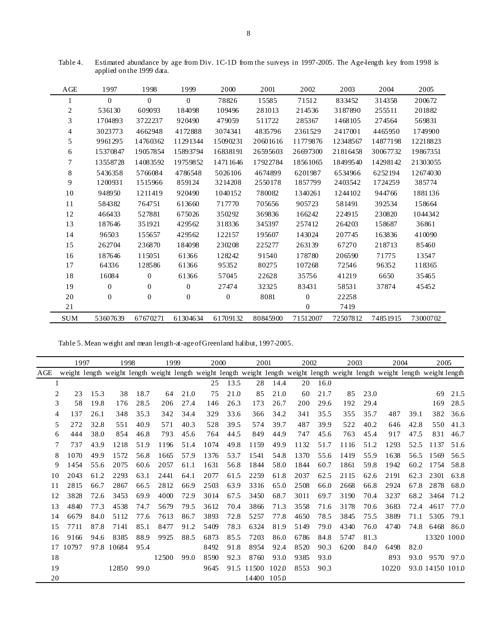| AGE       | 1997         | 1998             | 1999           | 2000     | 2001     | 2002           | 2003     | 2004     | 2005     |
|-----------|--------------|------------------|----------------|----------|----------|----------------|----------|----------|----------|
| 1         | $\Omega$     | $\Omega$         | $\mathbf{0}$   | 78826    | 15585    | 71512          | 833452   | 314358   | 200672   |
| 2         | 536130       | 609093           | 184098         | 109496   | 281013   | 214536         | 3187890  | 255511   | 201882   |
| 3         | 1704893      | 3722237          | 920490         | 479059   | 511722   | 285367         | 1468105  | 274564   | 569831   |
| 4         | 3023773      | 4662948          | 4172888        | 3074341  | 4835796  | 2361529        | 2417001  | 4465950  | 1749900  |
| 5         | 9961295      | 14760362         | 11291344       | 15090231 | 20601616 | 11779876       | 12348567 | 14877198 | 12218823 |
| 6         | 15370847     | 19057854         | 15893794       | 16838191 | 26595603 | 26697300       | 21816458 | 30067732 | 19867351 |
| 7         | 13558728     | 14083592         | 19759852       | 14711646 | 17922784 | 18561065       | 18499540 | 14298142 | 21303055 |
| $\,8\,$   | 5436358      | 5766084          | 4786548        | 5026106  | 4674899  | 6201987        | 6534966  | 6252194  | 12674030 |
| 9         | 1200931      | 1515966          | 859124         | 3214208  | 2550178  | 1857799        | 2403542  | 1724259  | 385774   |
| 10        | 948950       | 1211419          | 920490         | 1040152  | 780082   | 1340261        | 1244102  | 944766   | 1881136  |
| 11        | 584382       | 764751           | 613660         | 717770   | 705656   | 905723         | 581491   | 392534   | 158664   |
| 12        | 466433       | 527881           | 675026         | 350292   | 369836   | 166242         | 224915   | 230820   | 1044342  |
| 13        | 187646       | 351921           | 429562         | 318336   | 345397   | 257412         | 264203   | 158687   | 36861    |
| 14        | 96503        | 155657           | 429562         | 122157   | 195607   | 143024         | 207745   | 163836   | 410090   |
| 15        | 262704       | 236870           | 184098         | 230208   | 225277   | 263139         | 67270    | 218713   | 85460    |
| 16        | 187646       | 115051           | 61366          | 128242   | 91540    | 178780         | 206590   | 71775    | 13547    |
| 17        | 64336        | 128586           | 61366          | 95352    | 80275    | 107268         | 72546    | 96352    | 118365   |
| 18        | 16084        | $\boldsymbol{0}$ | 61366          | 57045    | 22628    | 35756          | 41219    | 6650     | 35465    |
| 19        | $\Omega$     | $\theta$         | $\overline{0}$ | 27474    | 32325    | 83431          | 58531    | 37874    | 45452    |
| 20        | $\mathbf{0}$ | $\overline{0}$   | $\overline{0}$ | $\theta$ | 8081     | $\mathbf{0}$   | 22258    |          |          |
| 21        |              |                  |                |          |          | $\overline{0}$ | 7419     |          |          |
| $\rm SUM$ | 53607639     | 67670271         | 61304634       | 61709132 | 80845900 | 71512007       | 72507812 | 74851915 | 73000702 |

Table 4. Estimated abundance by age from Div. 1C-1D from the surveys in 1997-2005. The Age-length key from 1998 is applied on the 1999 data.

Table 5. Mean weight and mean length-at-age of Greenland halibut, 1997-2005.

|     | 1997  |      | 1998       |      | 1999                                                                                                                          |      | 2000 |      | 2001  |       | 2002 |      | 2003 |      |       | 2004 | 2005            |      |
|-----|-------|------|------------|------|-------------------------------------------------------------------------------------------------------------------------------|------|------|------|-------|-------|------|------|------|------|-------|------|-----------------|------|
| AGE |       |      |            |      | weight length weight length weight length weight length weight length weight length weight length weight length weight length |      |      |      |       |       |      |      |      |      |       |      |                 |      |
|     |       |      |            |      |                                                                                                                               |      | 25   | 13.5 | 28    | 14.4  | 20   | 16.0 |      |      |       |      |                 |      |
| 2   | 23    | 15.3 | 38         | 18.7 | 64                                                                                                                            | 21.0 | 75   | 21.0 | 85    | 21.0  | 60   | 21.7 | 85   | 23.0 |       |      | 69              | 21.5 |
| 3   | 58    | 19.8 | 176        | 28.5 | 206                                                                                                                           | 27.4 | 146  | 26.3 | 173   | 26.7  | 200  | 29.6 | 192  | 29.4 |       |      | 169             | 28.5 |
| 4   | 137   | 26.1 | 348        | 35.3 | 342                                                                                                                           | 34.4 | 329  | 33.6 | 366   | 34.2  | 341  | 35.5 | 355  | 35.7 | 487   | 39.1 | 382             | 36.6 |
| 5   | 272   | 32.8 | 551        | 40.9 | 571                                                                                                                           | 40.3 | 528  | 39.5 | 574   | 39.7  | 487  | 39.9 | 522  | 40.2 | 646   | 42.8 | 550             | 41.3 |
| 6   | 444   | 38.0 | 854        | 46.8 | 793                                                                                                                           | 45.6 | 764  | 44.5 | 849   | 44.9  | 747  | 45.6 | 763  | 45.4 | 917   | 47.5 | 831             | 46.7 |
| 7   | 737   | 43.9 | 1218       | 51.9 | 1196                                                                                                                          | 51.4 | 1074 | 49.8 | 1159  | 49.9  | 1132 | 51.7 | 1116 | 51.2 | 1293  | 52.5 | 1137            | 51.6 |
| 8   | 1070  | 49.9 | 1572       | 56.8 | 1665                                                                                                                          | 57.9 | 1376 | 53.7 | 1541  | 54.8  | 1370 | 55.6 | 1419 | 55.9 | 1638  | 56.5 | 1569            | 56.5 |
| 9   | 1454  | 55.6 | 2075       | 60.6 | 2057                                                                                                                          | 61.1 | 1631 | 56.8 | 1844  | 58.0  | 1844 | 60.7 | 1861 | 59.8 | 1942  | 60.2 | 1754            | 58.8 |
| 10  | 2043  | 61.2 | 2293       | 63.1 | 2441                                                                                                                          | 64.1 | 2077 | 61.5 | 2259  | 61.8  | 2037 | 62.5 | 2115 | 62.6 | 2191  | 62.3 | 2301            | 63.8 |
| 11  | 2815  | 66.7 | 2867       | 66.5 | 2812                                                                                                                          | 66.9 | 2503 | 63.9 | 3316  | 65.0  | 2508 | 66.0 | 2668 | 66.8 | 2924  | 67.8 | 2878            | 68.0 |
| 12  | 3828  | 72.6 | 3453       | 69.9 | 4000                                                                                                                          | 72.9 | 3014 | 67.5 | 3450  | 68.7  | 3011 | 69.7 | 3190 | 70.4 | 3237  | 68.2 | 3464            | 71.2 |
| 13  | 4840  | 77.3 | 4538       | 74.7 | 5679                                                                                                                          | 79.5 | 3612 | 70.4 | 3866  | 71.3  | 3558 | 71.6 | 3178 | 70.6 | 3683  | 72.4 | 4617            | 77.0 |
| 14  | 6679  | 84.0 | 5112       | 77.6 | 7613                                                                                                                          | 86.7 | 3893 | 72.8 | 5257  | 77.8  | 4650 | 78.5 | 3845 | 75.5 | 3889  | 71.1 | 5305            | 79.1 |
| 15  | 7711  | 87.8 | 7141       | 85.1 | 8477                                                                                                                          | 91.2 | 5409 | 78.3 | 6324  | 81.9  | 5149 | 79.0 | 4340 | 76.0 | 4740  | 74.8 | 6468            | 86.0 |
| 16  | 9166  | 94.6 | 8385       | 88.9 | 9925                                                                                                                          | 88.5 | 6873 | 85.5 | 7203  | 86.0  | 6786 | 84.8 | 5747 | 81.3 |       |      | 13320 1000      |      |
| 17  | 10797 |      | 97.8 10684 | 95.4 |                                                                                                                               |      | 8492 | 91.8 | 8954  | 92.4  | 8520 | 90.3 | 6200 | 84.0 | 6498  | 82.0 |                 |      |
| 18  |       |      |            |      | 12500                                                                                                                         | 99.0 | 8590 | 92.3 | 8760  | 93.0  | 9385 | 93.0 |      |      | 893   | 93.0 | 9570            | 97.0 |
| 19  |       |      | 12850      | 99.0 |                                                                                                                               |      | 9645 | 91.5 | 11500 | 102.0 | 8553 | 90.3 |      |      | 10220 |      | 93.0 14150 1010 |      |
| 20  |       |      |            |      |                                                                                                                               |      |      |      | 14400 | 1050  |      |      |      |      |       |      |                 |      |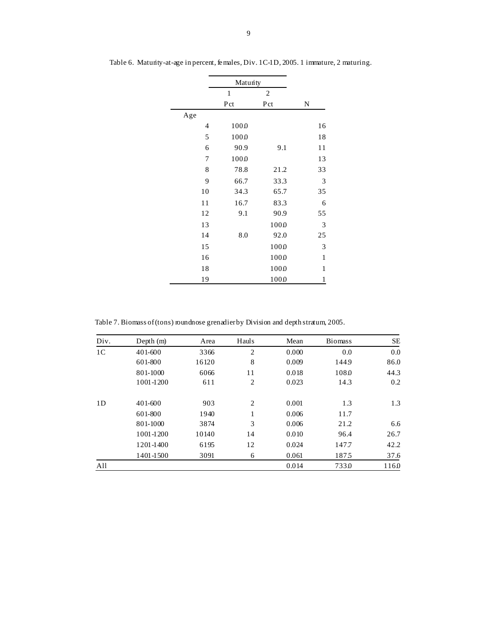|     | Matunty      |                |              |
|-----|--------------|----------------|--------------|
|     | $\mathbf{1}$ | $\overline{2}$ |              |
|     | Pct          | Pct            | N            |
| Age |              |                |              |
| 4   | 1000         |                | 16           |
| 5   | 1000         |                | 18           |
| 6   | 90.9         | 9.1            | 11           |
| 7   | 1000         |                | 13           |
| 8   | 78.8         | 21.2           | 33           |
| 9   | 66.7         | 33.3           | 3            |
| 10  | 34.3         | 65.7           | 35           |
| 11  | 16.7         | 83.3           | 6            |
| 12  | 9.1          | 90.9           | 55           |
| 13  |              | 1000           | 3            |
| 14  | 8.0          | 92.0           | 25           |
| 15  |              | 1000           | 3            |
| 16  |              | 1000           | $\,1$        |
| 18  |              | 1000           | $\mathbf{1}$ |
| 19  |              | 1000           | $\mathbf{1}$ |

Table 6. Maturity-at-age in percent, females, Div. 1C-1D, 2005. 1 immature, 2 maturing.

Table 7. Biomass of (tons) roundnose grenadier by Division and depth stratum, 2005.

| Div.           | Depth $(m)$ | Area  | Hauls          | Mean  | <b>Biomass</b> | SE.  |
|----------------|-------------|-------|----------------|-------|----------------|------|
| 1 <sup>C</sup> | 401-600     | 3366  | $\overline{2}$ | 0.000 | 0.0            | 0.0  |
|                | 601-800     | 16120 | 8              | 0.009 | 1449           | 86.0 |
|                | 801-1000    | 6066  | 11             | 0.018 | 108.0          | 44.3 |
|                | 1001-1200   | 611   | $\overline{2}$ | 0.023 | 14.3           | 0.2  |
| 1 <sub>D</sub> | 401-600     | 903   | $\overline{2}$ | 0.001 | 1.3            | 1.3  |
|                | 601-800     | 1940  | 1              | 0.006 | 11.7           |      |
|                | 801-1000    | 3874  | 3              | 0.006 | 21.2           | 6.6  |
|                | 1001-1200   | 10140 | 14             | 0.010 | 96.4           | 26.7 |
|                | 1201-1400   | 6195  | 12             | 0.024 | 147.7          | 42.2 |
|                | 1401-1500   | 3091  | 6              | 0.061 | 1875           | 37.6 |
| All            |             |       |                | 0.014 | 7330           | 1160 |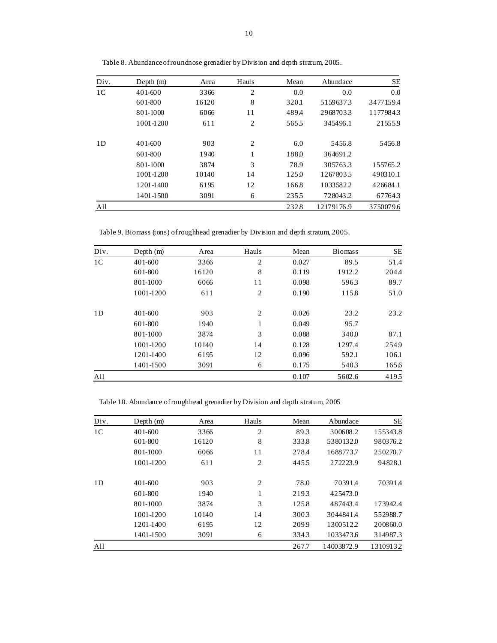| Div.           | Depth $(m)$ | Area  | Hauls          | Mean  | Abundace   | SE        |
|----------------|-------------|-------|----------------|-------|------------|-----------|
| 1 <sup>C</sup> | 401-600     | 3366  | $\overline{2}$ | 0.0   | 0.0        | 0.0       |
|                | 601-800     | 16120 | 8              | 320.1 | 51596373   | 3477159.4 |
|                | 801-1000    | 6066  | 11             | 489.4 | 29687033   | 11779843  |
|                | 1001-1200   | 611   | $\overline{2}$ | 5655  | 345496.1   | 215559    |
| 1 <sub>D</sub> | 401-600     | 903   | $\overline{2}$ | 6.0   | 5456.8     | 5456.8    |
|                | 601-800     | 1940  | 1              | 1880  | 364691.2   |           |
|                | 801-1000    | 3874  | 3              | 78.9  | 305763.3   | 155765.2  |
|                | 1001-1200   | 10140 | 14             | 1250  | 12678035   | 490310.1  |
|                | 1201-1400   | 6195  | 12             | 1668  | 10335822   | 426684.1  |
|                | 1401-1500   | 3091  | 6              | 2355  | 728043.2   | 677643    |
| All            |             |       |                | 2328  | 12179176.9 | 3750079.6 |

Table 8. Abundance of roundnose grenadier by Division and depth stratum, 2005.

Table 9. Biomass (tons) of roughhead grenadier by Division and depth stratum, 2005.

| Div.           | Depth $(m)$ | Area  | Hauls | Mean  | <b>Biomass</b> | SE    |
|----------------|-------------|-------|-------|-------|----------------|-------|
| 1 <sup>C</sup> | 401-600     | 3366  | 2     | 0.027 | 89.5           | 51.4  |
|                | 601-800     | 16120 | 8     | 0.119 | 1912.2         | 204.4 |
|                | 801-1000    | 6066  | 11    | 0.098 | 5963           | 89.7  |
|                | 1001-1200   | 611   | 2     | 0.190 | 1158           | 51.0  |
| 1 <sub>D</sub> | 401-600     | 903   | 2     | 0.026 | 23.2           | 23.2  |
|                | 601-800     | 1940  | 1     | 0.049 | 95.7           |       |
|                | 801-1000    | 3874  | 3     | 0.088 | 3400           | 87.1  |
|                | 1001-1200   | 10140 | 14    | 0.128 | 1297.4         | 2549  |
|                | 1201-1400   | 6195  | 12    | 0.096 | 592.1          | 106.1 |
|                | 1401-1500   | 3091  | 6     | 0.175 | 5403           | 1656  |
| All            |             |       |       | 0.107 | 5602.6         | 4195  |

Table 10. Abundance of roughhead grenadier by Division and depth stratum, 2005

| Div.           | Depth $(m)$ | Area  | Hauls          | Mean  | Abundace   | SE       |
|----------------|-------------|-------|----------------|-------|------------|----------|
| 1 <sup>C</sup> | 401-600     | 3366  | $\overline{2}$ | 89.3  | 300608.2   | 155343.8 |
|                | 601-800     | 16120 | 8              | 3338  | 53801320   | 980376.2 |
|                | 801-1000    | 6066  | 11             | 278.4 | 1688773.7  | 250270.7 |
|                | 1001-1200   | 611   | $\overline{2}$ | 4455  | 272223.9   | 94828.1  |
| 1D             | 401-600     | 903   | $\overline{2}$ | 78.0  | 703914     | 70391.4  |
|                | 601-800     | 1940  | 1              | 2193  | 425473.0   |          |
|                | 801-1000    | 3874  | 3              | 1258  | 487443.4   | 173942.4 |
|                | 1001-1200   | 10140 | 14             | 3003  | 3044841.4  | 552988.7 |
|                | 1201-1400   | 6195  | 12             | 2099  | 13005122   | 200860.0 |
|                | 1401-1500   | 3091  | 6              | 3343  | 1033473.6  | 314987.3 |
| All            |             |       |                | 267.7 | 14003872.9 | 13109132 |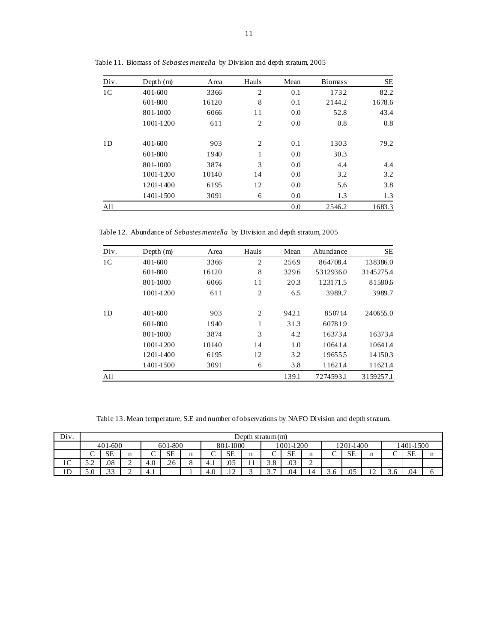| Div.           | Depth $(m)$ | Area  | Hauls          | Mean | <b>Biomass</b> | SE     |
|----------------|-------------|-------|----------------|------|----------------|--------|
| 1 <sup>C</sup> | 401-600     | 3366  | $\overline{2}$ | 0.1  | 1732           | 82.2   |
|                | 601-800     | 16120 | 8              | 0.1  | 2144.2         | 1678.6 |
|                | 801-1000    | 6066  | 11             | 0.0  | 52.8           | 43.4   |
|                | 1001-1200   | 611   | $\overline{2}$ | 0.0  | 0.8            | 0.8    |
| 1 <sub>D</sub> | 401-600     | 903   | $\overline{2}$ | 0.1  | 1303           | 79.2   |
|                | 601-800     | 1940  | 1              | 0.0  | 30.3           |        |
|                | 801-1000    | 3874  | 3              | 0.0  | 4.4            | 4.4    |
|                | 1001-1200   | 10140 | 14             | 0.0  | 3.2            | 3.2    |
|                | 1201-1400   | 6195  | 12             | 0.0  | 5.6            | 3.8    |
|                | 1401-1500   | 3091  | 6              | 0.0  | 1.3            | 1.3    |
| All            |             |       |                | 0.0  | 2546.2         | 1683.3 |

Table 11. Biomass of *Sebastes mentella* by Division and depth stratum, 2005

Table 12. Abundance of *Sebastes mentella* by Division and depth stratum, 2005

| Div.           | Depth $(m)$ | Area  | Hauls          | Mean  | Abundance | SE        |
|----------------|-------------|-------|----------------|-------|-----------|-----------|
| 1 <sup>C</sup> | 401-600     | 3366  | $\overline{2}$ | 2569  | 864708.4  | 138386.0  |
|                | 601-800     | 16120 | 8              | 329.6 | 53129360  | 3145275.4 |
|                | 801-1000    | 6066  | 11             | 20.3  | 123171.5  | 815806    |
|                | 1001-1200   | 611   | $\overline{2}$ | 6.5   | 3989.7    | 3989.7    |
| 1D             | 401-600     | 903   | $\overline{2}$ | 942.1 | 850714    | 240655.0  |
|                | 601-800     | 1940  | 1              | 31.3  | 607819    |           |
|                | 801-1000    | 3874  | 3              | 4.2   | 163734    | 16373.4   |
|                | 1001-1200   | 10140 | 14             | 1.0   | 106414    | 106414    |
|                | 1201-1400   | 6195  | 12             | 3.2   | 196555    | 141503    |
|                | 1401-1500   | 3091  | 6              | 3.8   | 11621.4   | 11621.4   |
| All            |             |       |                | 139.1 | 7274593.1 | 3159257.1 |

Table 13. Mean temperature, S.E and number of observations by NAFO Division and depth stratum.

| Div.          | Depth stratum (m)                                                     |                   |             |     |           |         |        |           |                   |                     |           |        |        |     |     |   |           |  |
|---------------|-----------------------------------------------------------------------|-------------------|-------------|-----|-----------|---------|--------|-----------|-------------------|---------------------|-----------|--------|--------|-----|-----|---|-----------|--|
|               | 601-800<br>1001-1200<br>1201-1400<br>1401-1500<br>401-600<br>801-1000 |                   |             |     |           |         |        |           |                   |                     |           |        |        |     |     |   |           |  |
|               | ◡                                                                     | <b>SE</b>         | n           |     | <b>SE</b> | n       | ∽<br>◡ | <b>SE</b> | n<br>$\mathbf{H}$ | ⌒<br>◡              | <b>SE</b> | п      | ⌒<br>◡ | SE  | n   |   | <b>SE</b> |  |
| $\sim$<br>1 U | ∼<br>ے ۔                                                              | .08               | $\sim$<br>∸ | 4.0 | .26       | $\circ$ | 4.1    | .05       | -                 | 38<br>ن. ر          | .03       | ∼<br>∸ |        |     |     |   |           |  |
| ∣ D<br>⊥ D    | .U                                                                    | $\bigcap$<br>ر ر. | ◠<br>∸      | 4.1 |           |         | 4.0    | $\sim$    |                   | $\overline{ }$<br>، | .04       |        | .0     | .05 | . . | C | .04       |  |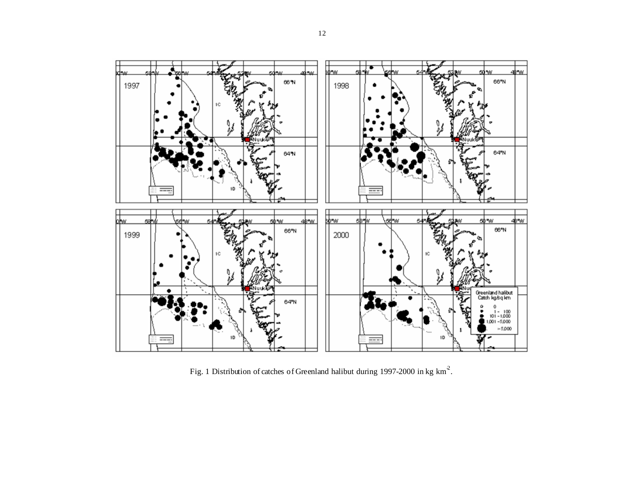

Fig. 1 Distribution of catches of Greenland halibut during 1997-2000 in kg km<sup>2</sup>.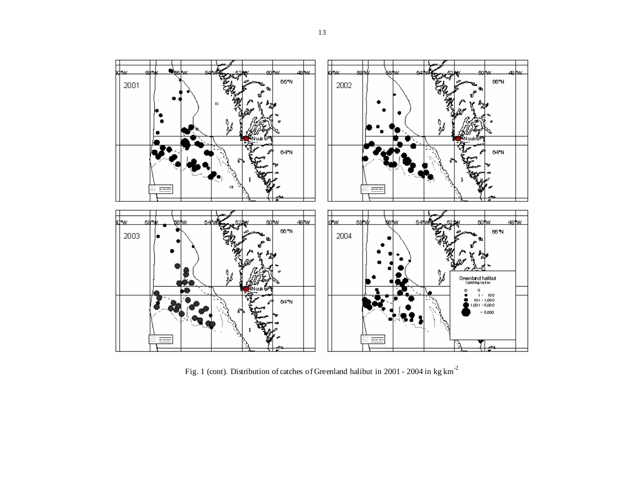

Fig. 1 (cont). Distribution of catches of Greenland halibut in 2001 - 2004 in kg km-<sup>2</sup>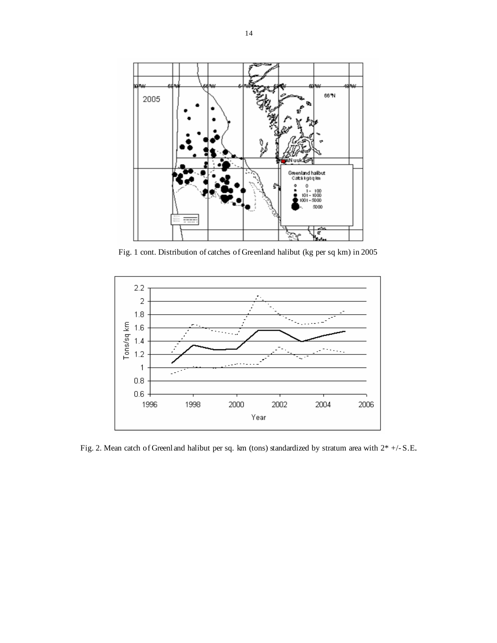

Fig. 1 cont. Distribution of catches of Greenland halibut (kg per sq km) in 2005



Fig. 2. Mean catch of Greenland halibut per sq. km (tons) standardized by stratum area with 2\* +/- S.E.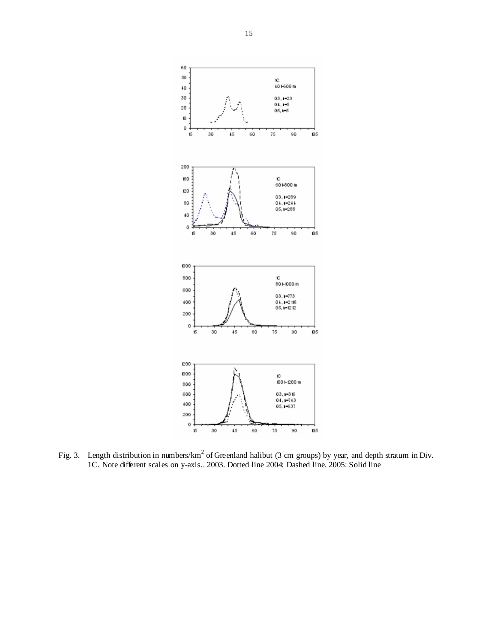

Fig. 3. Length distribution in numbers/km<sup>2</sup> of Greenland halibut (3 cm groups) by year, and depth stratum in Div. 1C. Note different scales on y-axis.. 2003. Dotted line 2004: Dashed line. 2005: Solid line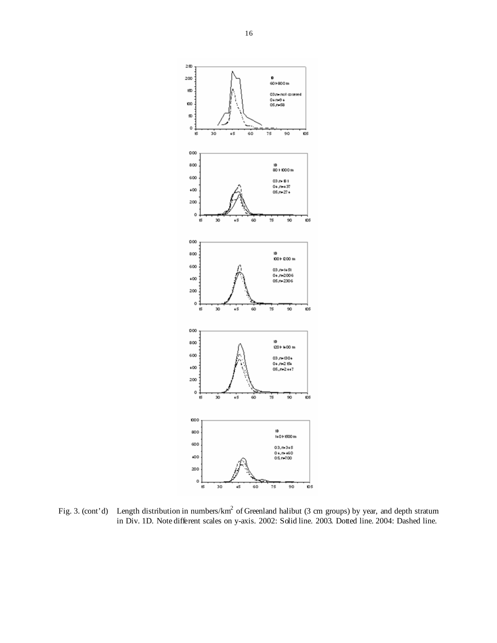

Fig. 3. (cont'd) Length distribution in numbers/km<sup>2</sup> of Greenland halibut (3 cm groups) by year, and depth stratum in Div. 1D. Note different scales on y-axis. 2002: Solid line. 2003. Dotted line. 2004: Dashed line.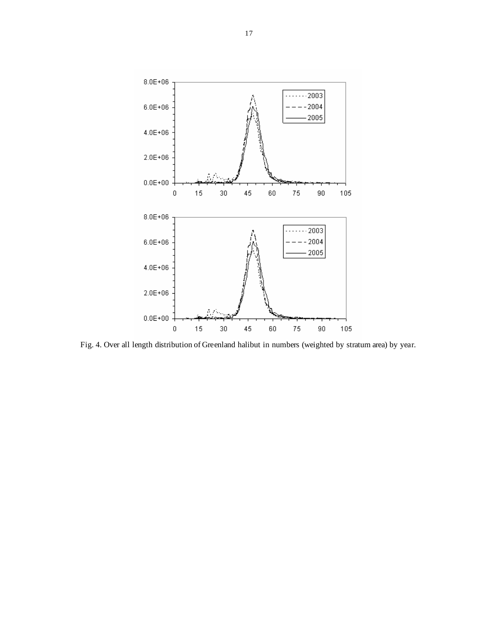

Fig. 4. Over all length distribution of Greenland halibut in numbers (weighted by stratum area) by year.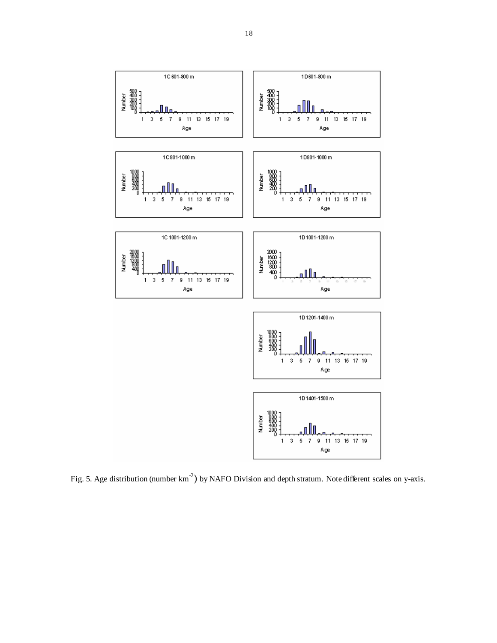

Fig. 5. Age distribution (number  $km^{-2}$ ) by NAFO Division and depth stratum. Note different scales on y-axis.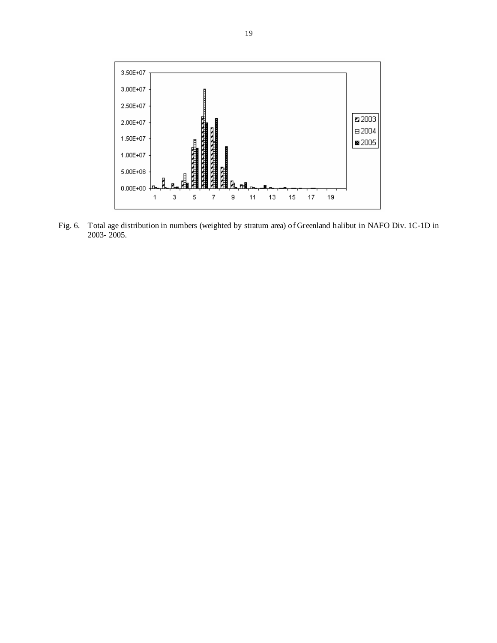

Fig. 6. Total age distribution in numbers (weighted by stratum area) of Greenland halibut in NAFO Div. 1C-1D in 2003- 2005.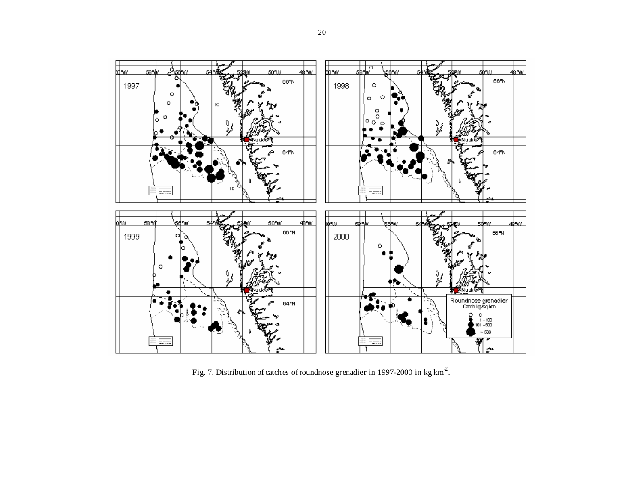

Fig. 7. Distribution of catches of roundnose grenadier in 1997-2000 in kg km-2.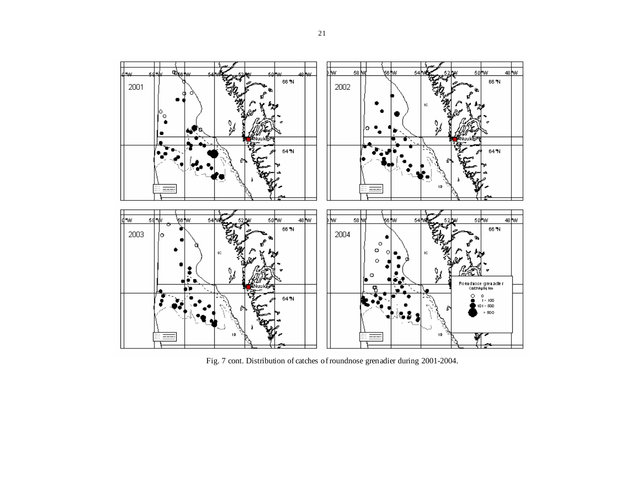

Fig. 7 cont. Distribution of catches of roundnose grenadier during 2001-2004.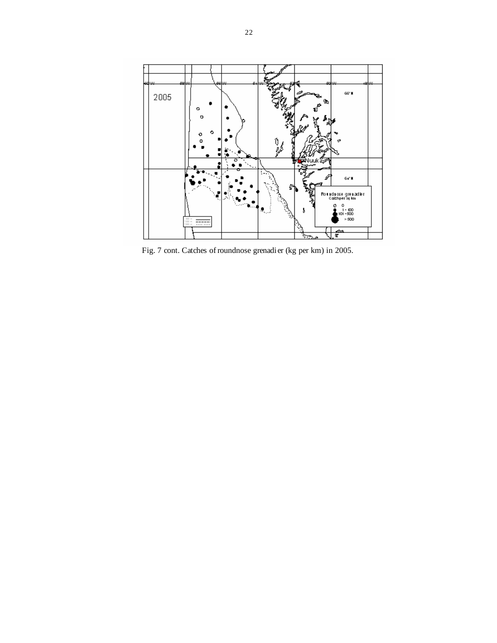

Fig. 7 cont. Catches of roundnose grenadier (kg per km) in 2005.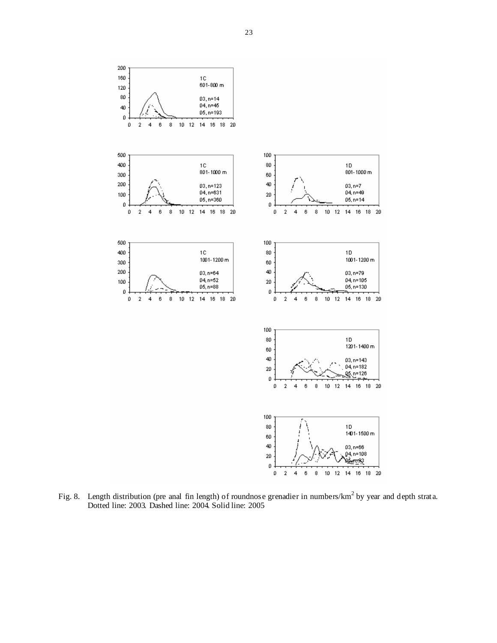

Fig. 8. Length distribution (pre anal fin length) of roundnose grenadier in numbers/ $km^2$  by year and depth strata. Dotted line: 2003. Dashed line: 2004. Solid line: 2005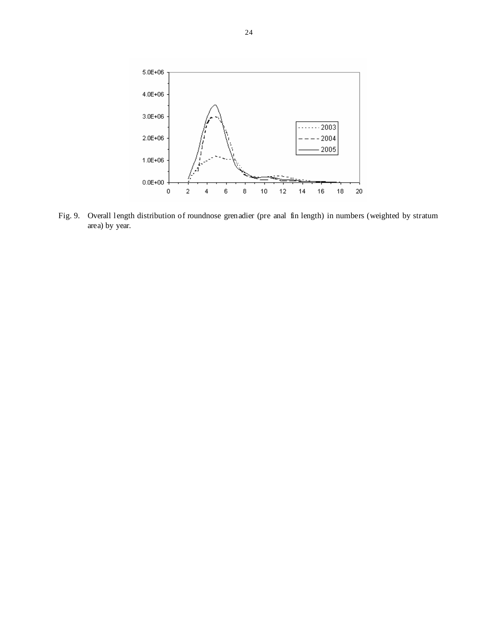

Fig. 9. Overall length distribution of roundnose grenadier (pre anal fin length) in numbers (weighted by stratum area) by year.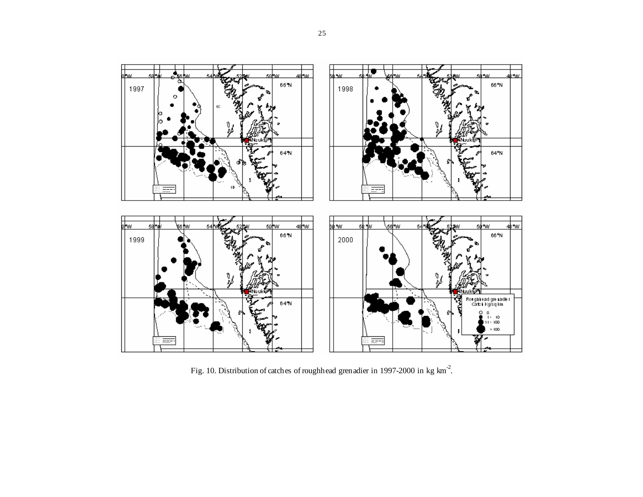

Fig. 10. Distribution of catches of roughhead grenadier in 1997-2000 in kg km-2.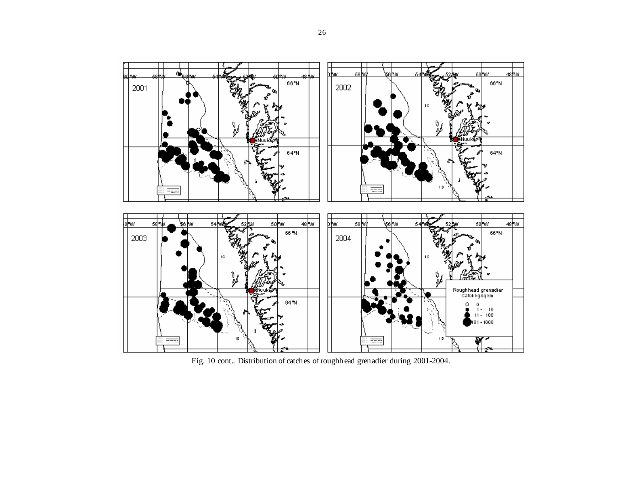

Fig. 10 cont.. Distribution of catches of roughhead grenadier during 2001-2004.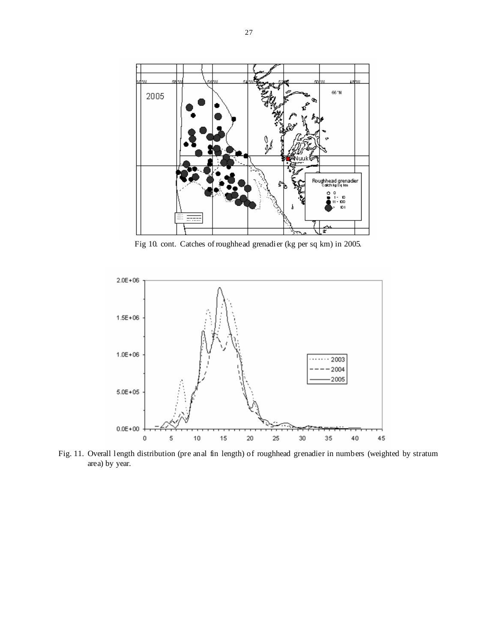

Fig 10. cont. Catches of roughhead grenadier (kg per sq km) in 2005.



Fig. 11. Overall length distribution (pre anal fin length) of roughhead grenadier in numbers (weighted by stratum area) by year.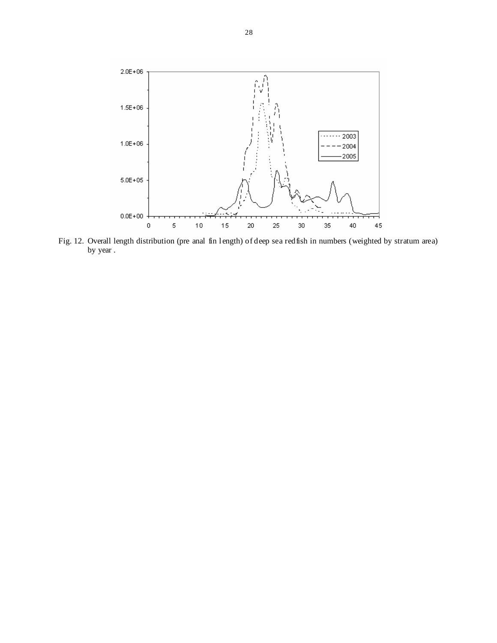

Fig. 12. Overall length distribution (pre anal fin length) of deep sea redfish in numbers (weighted by stratum area) by year .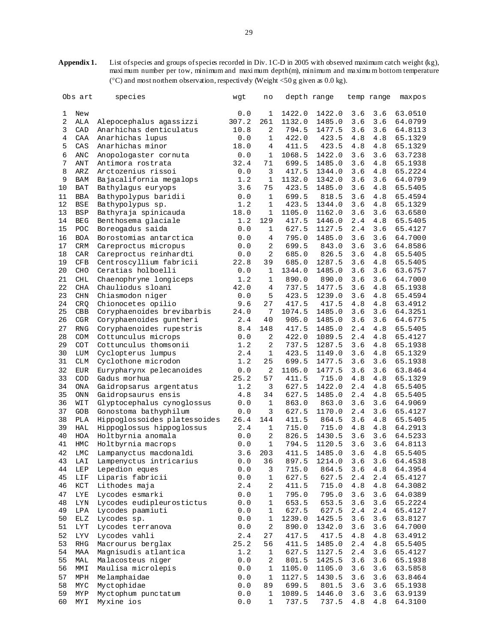**Appendix 1.** List of species and groups of species recorded in Div. 1C-D in 2005 with observed maximum catch weight (kg), maxi mum number per tow, minimum and maxi mum depth(m), minimum and maximu m bottom temperature (°C) and most northern observation, respectively (Weight <50 g given as 0.0 kg).

|    | Obs art                            | species                      | wgt   | no             | depth range |        |         | temp range | maxpos  |
|----|------------------------------------|------------------------------|-------|----------------|-------------|--------|---------|------------|---------|
|    |                                    |                              |       |                |             |        |         |            |         |
| 1  | New                                |                              | 0.0   | 1              | 1422.0      | 1422.0 | 3.6     | 3.6        | 63.0510 |
| 2  | ALA                                | Alepocephalus agassizzi      | 307.2 | 261            | 1132.0      | 1485.0 | 3.6     | 3.6        | 64.0799 |
| 3  | CAD                                | Anarhichas denticulatus      | 10.8  | 2              | 794.5       | 1477.5 | 3.6     | 3.6        | 64.8113 |
| 4  | CAA                                | Anarhichas lupus             | 0.0   | 1              | 422.0       | 423.5  | 4.8     | 4.8        | 65.1329 |
| 5  | CAS                                | Anarhichas minor             | 18.0  | 4              | 411.5       | 423.5  | 4.8     | 4.8        | 65.1329 |
| 6  | ANC                                | Anopologaster cornuta        | 0.0   | $\mathbf 1$    | 1068.5      | 1422.0 | 3.6     | 3.6        | 63.7238 |
| 7  | ANT                                | Antimora rostrata            | 32.4  | 71             | 699.5       | 1485.0 | 3.6     | 4.8        | 65.1938 |
| 8  | AR Z                               | Arctozenius rissoi           | 0.0   | 3              | 417.5       | 1344.0 | 3.6     | 4.8        | 65.2224 |
| 9  | BAM                                | Bajacalifornia megalops      | 1.2   | 1              | 1132.0      | 1342.0 | 3.6     | 3.6        | 64.0799 |
| 10 | <b>BAT</b>                         | Bathylagus euryops           | 3.6   | 75             | 423.5       | 1485.0 | 3.6     | 4.8        | 65.5405 |
| 11 | <b>BBA</b>                         | Bathypolypus baridii         | 0.0   | 1              | 699.5       | 818.5  | 3.6     | 4.8        | 65.4594 |
| 12 | BSE                                | Bathypolypus sp.             | 1.2   | $\mathbf{1}$   | 423.5       | 1344.0 | 3.6     | 4.8        | 65.1329 |
| 13 | <b>BSP</b>                         | Bathyraja spinicauda         | 18.0  | $\mathbf{1}$   | 1105.0      | 1162.0 | 3.6     | 3.6        | 63.6580 |
| 14 | <b>BEG</b>                         | Benthosema glaciale          | 1.2   | 129            | 417.5       | 1446.0 | 2.4     | 4.8        | 65.5405 |
| 15 | POC                                | Boreogadus saida             | 0.0   | $\mathbf 1$    | 627.5       | 1127.5 | 2.4     | 3.6        | 65.4127 |
| 16 | <b>BOA</b>                         | Borostomias antarctica       | 0.0   | 4              | 795.0       | 1485.0 | 3.6     | 3.6        | 64.7000 |
| 17 | CRM                                | Careproctus micropus         | 0.0   | 2              | 699.5       | 843.0  | 3.6     | 3.6        | 64.8586 |
| 18 | CAR                                | Careproctus reinhardti       | 0.0   | 2              | 685.0       | 826.5  | 3.6     | 4.8        | 65.5405 |
| 19 | CFB                                | Centroscyllium fabricii      | 22.8  | 39             | 685.0       | 1287.5 | 3.6     | 4.8        | 65.5405 |
| 20 | <b>CHO</b>                         | Ceratias holboelli           | 0.0   | 1              | 1344.0      | 1485.0 | 3.6     | 3.6        | 63.6757 |
| 21 | CHL                                | Chaenophryne longiceps       | 1.2   | 1              | 890.0       | 890.0  | 3.6     | 3.6        | 64.7000 |
| 22 | CHA                                | Chauliodus sloani            | 42.0  | $\overline{4}$ | 737.5       | 1477.5 | 3.6     | 4.8        | 65.1938 |
| 23 | CHN                                | Chiasmodon niger             | 0.0   | 5              | 423.5       | 1239.0 | 3.6     | 4.8        | 65.4594 |
| 24 | <b>CRQ</b>                         | Chionocetes opilio           | 9.6   | 27             | 417.5       | 417.5  | 4.8     | 4.8        | 63.4912 |
| 25 | CBB                                | Coryphaenoides brevibarbis   | 24.0  | 7              | 1074.5      | 1485.0 | 3.6     | 3.6        | 64.3251 |
| 26 | CGR                                | Coryphaenoides guntheri      | 2.4   | 40             | 905.0       | 1485.0 | 3.6     | 3.6        | 64.6775 |
| 27 | <b>RNG</b>                         | Coryphaenoides rupestris     | 8.4   | 148            | 417.5       | 1485.0 | 2.4     | 4.8        | 65.5405 |
| 28 | COM                                | Cottunculus microps          | 0.0   | $\mathbf{2}$   | 422.0       | 1089.5 | 2.4     | 4.8        | 65.4127 |
| 29 | <b>COT</b>                         | Cottunculus thomsonii        | 1.2   | 2              | 737.5       | 1287.5 | 3.6     | 4.8        | 65.1938 |
| 30 | LUM                                | Cyclopterus lumpus           | 2.4   | 1              | 423.5       | 1149.0 | 3.6     | 4.8        | 65.1329 |
| 31 | CLM                                | Cyclothone microdon          | 1.2   | 25             | 699.5       | 1477.5 | $3.6\,$ | 3.6        | 65.1938 |
| 32 | <b>EUR</b>                         | Eurypharynx pelecanoides     | 0.0   | 2              | 1105.0      | 1477.5 | 3.6     | 3.6        | 63.8464 |
| 33 | COD                                | Gadus morhua                 | 25.2  | 57             | 411.5       | 715.0  | 4.8     | 4.8        | 65.1329 |
| 34 | ONA                                | Gaidropsarus argentatus      | 1.2   | 3              | 627.5       | 1422.0 | 2.4     | 4.8        | 65.5405 |
| 35 | ONN                                | Gaidropsaurus ensis          | 4.8   | 34             | 627.5       | 1485.0 | 2.4     | 4.8        | 65.5405 |
| 36 | WIT                                | Glyptocephalus cynoglossus   | 0.0   | $\mathbf 1$    | 863.0       | 863.0  | 3.6     | 3.6        | 64.9069 |
| 37 | <b>GOB</b>                         | Gonostoma bathyphilum        | 0.0   | 3              | 627.5       | 1170.0 | 2.4     | 3.6        | 65.4127 |
| 38 | PLA                                | Hippoglossoides platessoides | 26.4  | 144            | 411.5       | 864.5  | 3.6     | 4.8        | 65.5405 |
| 39 | HAL                                | Hippoglossus hippoglossus    | 2.4   | $\mathbf 1$    | 715.0       | 715.0  | 4.8     | 4.8        | 64.2913 |
| 40 | HOA                                | Holtbyrnia anomala           | 0.0   | 2              | 826.5       | 1430.5 | 3.6     | $3.6$      | 64.5233 |
| 41 | HMC                                | Holtbyrnia macrops           | 0.0   | $\mathbf{1}$   | 794.5       | 1120.5 | $3.6$   | 3.6        | 64.8113 |
| 42 | <b>LMC</b>                         | Lampanyctus macdonaldi       | 3.6   | 203            | 411.5       | 1485.0 | 3.6     | 4.8        | 65.5405 |
| 43 | LAI                                | Lampenyctus intricarius      | 0.0   | 36             | 897.5       | 1214.0 | 3.6     | 3.6        | 64.4538 |
| 44 | LEP                                | Lepedion eques               | 0.0   | 3              | 715.0       | 864.5  | $3.6$   | 4.8        | 64.3954 |
| 45 | LIF                                | Liparis fabricii             | $0.0$ | $\mathbf 1$    | 627.5       | 627.5  | 2.4     | 2.4        | 65.4127 |
| 46 | $\mathop{\rm KCT}\nolimits$        | Lithodes maja                | 2.4   | 2              | 411.5       | 715.0  | 4.8     | 4.8        | 64.3082 |
| 47 | LYE                                | Lycodes esmarki              | 0.0   | $\mathbf 1$    | 795.0       | 795.0  | 3.6     | 3.6        | 64.0389 |
| 48 | LYN                                | Lycodes eudipleurostictus    | $0.0$ | $\mathbf{1}$   | 653.5       | 653.5  | 3.6     | 3.6        | 65.2224 |
| 49 | LPA                                | Lycodes paamiuti             | 0.0   | $\mathbf 1$    | 627.5       | 627.5  | 2.4     | 2.4        | 65.4127 |
| 50 | ELZ                                | Lycodes sp.                  | $0.0$ | $\mathbf 1$    | 1239.0      | 1425.5 | 3.6     | 3.6        | 63.8127 |
| 51 | $_{\rm LYT}$                       | Lycodes terranova            | 0.0   | 2              | 890.0       | 1342.0 | 3.6     | 3.6        | 64.7000 |
| 52 | LYV                                | Lycodes vahli                | 2.4   | 27             | 417.5       | 417.5  | 4.8     | 4.8        | 63.4912 |
| 53 | $\mathbb{R} \mathbb{H} \mathbb{G}$ | Macrourus berglax            | 25.2  | 56             | 411.5       | 1485.0 | 2.4     | 4.8        | 65.5405 |
| 54 | MAA                                | Magnisudis atlantica         | 1.2   | 1              | 627.5       | 1127.5 | 2.4     | 3.6        | 65.4127 |
| 55 | MAL                                | Malacosteus niger            | 0.0   | 2              | 801.5       | 1425.5 | 3.6     | 3.6        | 65.1938 |
| 56 | MMI                                | Maulisa microlepis           | 0.0   | $\mathbf 1$    | 1105.0      | 1105.0 | 3.6     | 3.6        | 63.5858 |
| 57 | MPH                                | Melamphaidae                 | $0.0$ | 1              | 1127.5      | 1430.5 | $3.6$   | 3.6        | 63.8464 |
| 58 | MYC                                | Myctophidae                  | $0.0$ | 89             | 699.5       | 801.5  | 3.6     | 3.6        | 65.1938 |
| 59 | MY P                               | Myctophum punctatum          | $0.0$ | 1              | 1089.5      | 1446.0 | 3.6     | 3.6        | 63.9139 |
| 60 | MY I                               | Myxine ios                   | 0.0   | 1              | 737.5       | 737.5  | 4.8     | 4.8        | 64.3100 |